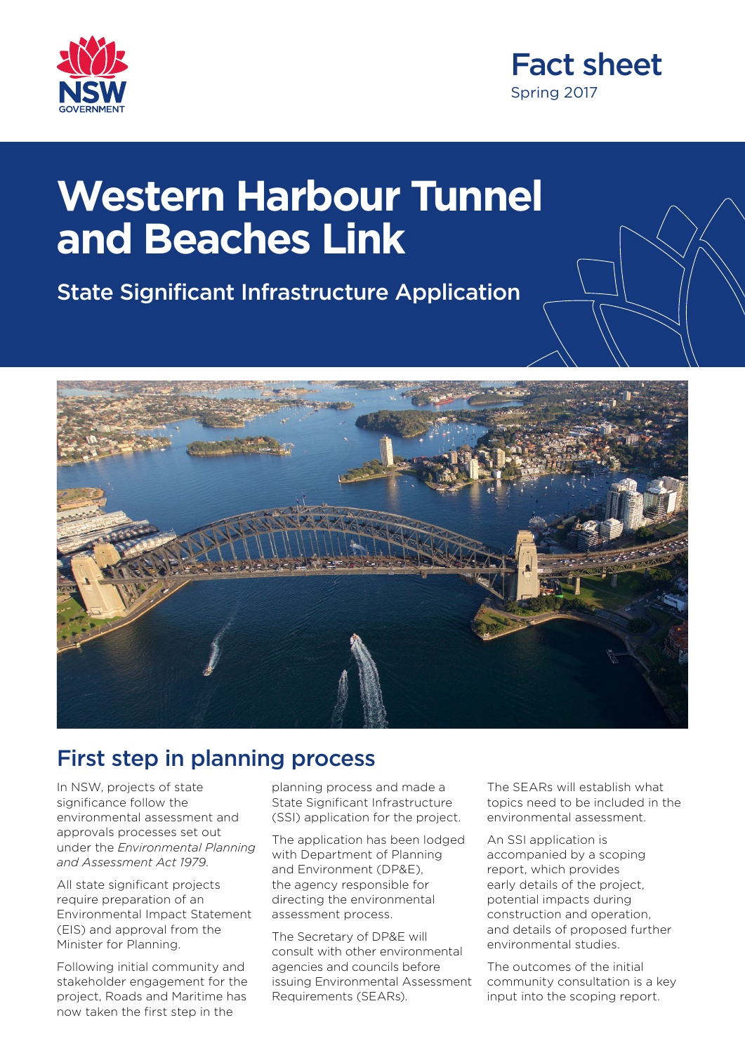



# **Western Harbour Tunnel and Beaches Link**

State Significant Infrastructure Application



#### First step in planning process

In NSW, projects of state significance follow the environmental assessment and approvals processes set out under the *Environmental Planning and Assessment Act 1979*.

All state significant projects require preparation of an Environmental Impact Statement (EIS) and approval from the Minister for Planning.

Following initial community and stakeholder engagement for the project, Roads and Maritime has now taken the first step in the

planning process and made a State Significant Infrastructure (SSI) application for the project.

The application has been lodged with Department of Planning and Environment (DP&E), the agency responsible for directing the environmental assessment process.

The Secretary of DP&E will consult with other environmental agencies and councils before issuing Environmental Assessment Requirements (SEARs).

The SEARs will establish what topics need to be included in the environmental assessment.

An SSI application is accompanied by a scoping report, which provides early details of the project, potential impacts during construction and operation, and details of proposed further environmental studies.

The outcomes of the initial community consultation is a key input into the scoping report.